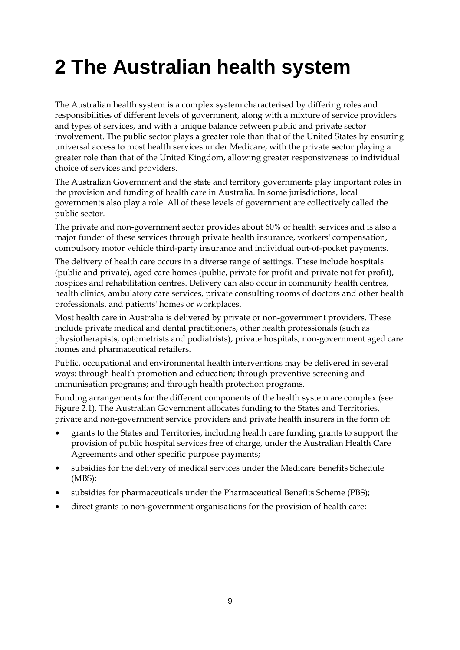# **2 The Australian health system**

The Australian health system is a complex system characterised by differing roles and responsibilities of different levels of government, along with a mixture of service providers and types of services, and with a unique balance between public and private sector involvement. The public sector plays a greater role than that of the United States by ensuring universal access to most health services under Medicare, with the private sector playing a greater role than that of the United Kingdom, allowing greater responsiveness to individual choice of services and providers.

The Australian Government and the state and territory governments play important roles in the provision and funding of health care in Australia. In some jurisdictions, local governments also play a role. All of these levels of government are collectively called the public sector.

The private and non-government sector provides about 60% of health services and is also a major funder of these services through private health insurance, workers' compensation, compulsory motor vehicle third-party insurance and individual out-of-pocket payments.

The delivery of health care occurs in a diverse range of settings. These include hospitals (public and private), aged care homes (public, private for profit and private not for profit), hospices and rehabilitation centres. Delivery can also occur in community health centres, health clinics, ambulatory care services, private consulting rooms of doctors and other health professionals, and patients' homes or workplaces.

Most health care in Australia is delivered by private or non-government providers. These include private medical and dental practitioners, other health professionals (such as physiotherapists, optometrists and podiatrists), private hospitals, non-government aged care homes and pharmaceutical retailers.

Public, occupational and environmental health interventions may be delivered in several ways: through health promotion and education; through preventive screening and immunisation programs; and through health protection programs.

Funding arrangements for the different components of the health system are complex (see Figure 2.1). The Australian Government allocates funding to the States and Territories, private and non-government service providers and private health insurers in the form of:

- grants to the States and Territories, including health care funding grants to support the provision of public hospital services free of charge, under the Australian Health Care Agreements and other specific purpose payments;
- subsidies for the delivery of medical services under the Medicare Benefits Schedule (MBS);
- subsidies for pharmaceuticals under the Pharmaceutical Benefits Scheme (PBS);
- direct grants to non-government organisations for the provision of health care;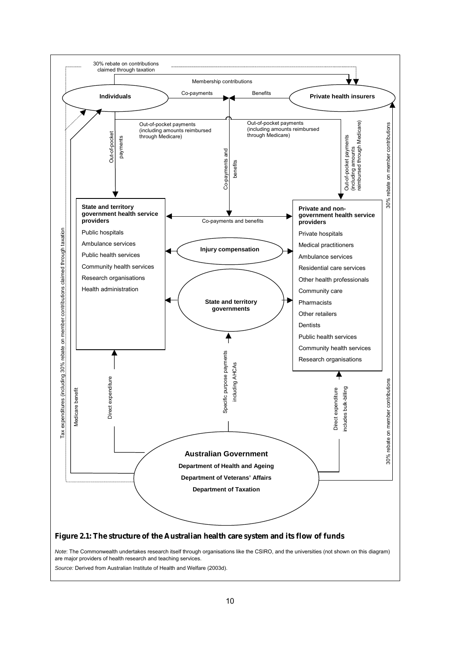

*Note*: The Commonwealth undertakes research itself through organisations like the CSIRO, and the universities (not shown on this diagram) are major providers of health research and teaching services.

*Source:* Derived from Australian Institute of Health and Welfare (2003d).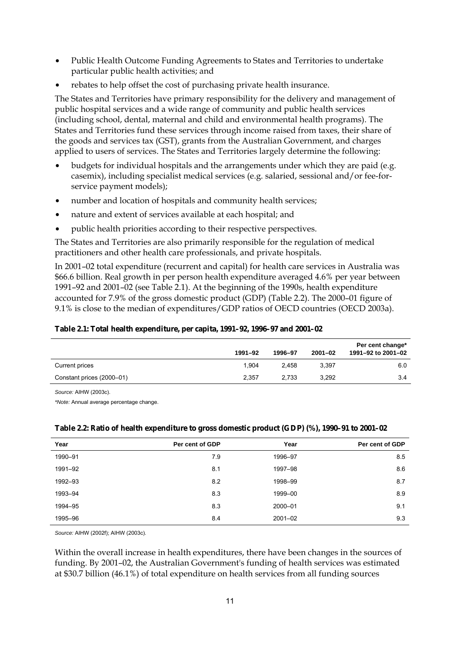- Public Health Outcome Funding Agreements to States and Territories to undertake particular public health activities; and
- rebates to help offset the cost of purchasing private health insurance.

The States and Territories have primary responsibility for the delivery and management of public hospital services and a wide range of community and public health services (including school, dental, maternal and child and environmental health programs). The States and Territories fund these services through income raised from taxes, their share of the goods and services tax (GST), grants from the Australian Government, and charges applied to users of services. The States and Territories largely determine the following:

- budgets for individual hospitals and the arrangements under which they are paid (e.g. casemix), including specialist medical services (e.g. salaried, sessional and/or fee-forservice payment models);
- number and location of hospitals and community health services;
- nature and extent of services available at each hospital; and
- public health priorities according to their respective perspectives.

The States and Territories are also primarily responsible for the regulation of medical practitioners and other health care professionals, and private hospitals.

In 2001–02 total expenditure (recurrent and capital) for health care services in Australia was \$66.6 billion. Real growth in per person health expenditure averaged 4.6% per year between 1991–92 and 2001–02 (see Table 2.1). At the beginning of the 1990s, health expenditure accounted for 7.9% of the gross domestic product (GDP) (Table 2.2). The 2000–01 figure of 9.1% is close to the median of expenditures/GDP ratios of OECD countries (OECD 2003a).

## **Table 2.1: Total health expenditure, per capita, 1991–92, 1996–97 and 2001–02**

|                           | 1991-92 | 1996-97 | $2001 - 02$ | Per cent change*<br>1991-92 to 2001-02 |
|---------------------------|---------|---------|-------------|----------------------------------------|
| Current prices            | 1.904   | 2.458   | 3.397       | 6.0                                    |
| Constant prices (2000-01) | 2.357   | 2.733   | 3.292       | 3.4                                    |

*Source:* AIHW (2003c).

*\*Note:* Annual average percentage change.

| Year    | Per cent of GDP | Year        | Per cent of GDP |
|---------|-----------------|-------------|-----------------|
| 1990-91 | 7.9             | 1996-97     | 8.5             |
| 1991-92 | 8.1             | 1997-98     | 8.6             |
| 1992-93 | 8.2             | 1998-99     | 8.7             |
| 1993-94 | 8.3             | 1999-00     | 8.9             |
| 1994-95 | 8.3             | 2000-01     | 9.1             |
| 1995-96 | 8.4             | $2001 - 02$ | 9.3             |

### **Table 2.2: Ratio of health expenditure to gross domestic product (GDP) (%), 1990–91 to 2001–02**

*Source:* AIHW (2002f); AIHW (2003c).

Within the overall increase in health expenditures, there have been changes in the sources of funding. By 2001–02, the Australian Government's funding of health services was estimated at \$30.7 billion (46.1%) of total expenditure on health services from all funding sources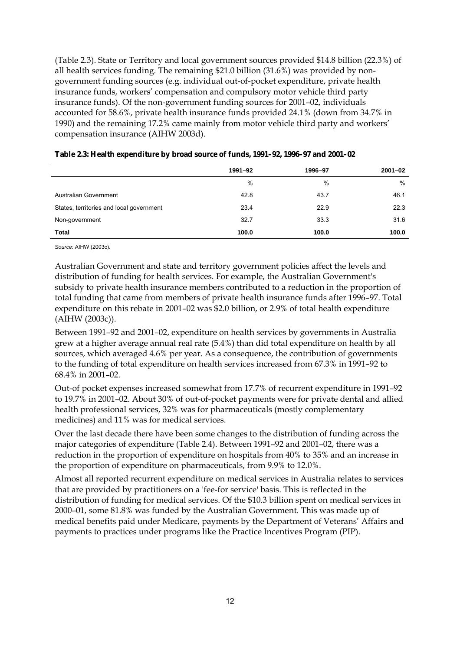(Table 2.3). State or Territory and local government sources provided \$14.8 billion (22.3%) of all health services funding. The remaining \$21.0 billion (31.6%) was provided by nongovernment funding sources (e.g. individual out-of-pocket expenditure, private health insurance funds, workers' compensation and compulsory motor vehicle third party insurance funds). Of the non-government funding sources for 2001–02, individuals accounted for 58.6%, private health insurance funds provided 24.1% (down from 34.7% in 1990) and the remaining 17.2% came mainly from motor vehicle third party and workers' compensation insurance (AIHW 2003d).

|                                          | 1991-92 | 1996-97 | $2001 - 02$ |
|------------------------------------------|---------|---------|-------------|
|                                          | %       | %       | %           |
| Australian Government                    | 42.8    | 43.7    | 46.1        |
| States, territories and local government | 23.4    | 22.9    | 22.3        |
| Non-government                           | 32.7    | 33.3    | 31.6        |
| Total                                    | 100.0   | 100.0   | 100.0       |

|  |  | Table 2.3: Health expenditure by broad source of funds, 1991–92, 1996–97 and 2001–02 |
|--|--|--------------------------------------------------------------------------------------|
|  |  |                                                                                      |

*Source:* AIHW (2003c).

Australian Government and state and territory government policies affect the levels and distribution of funding for health services. For example, the Australian Government's subsidy to private health insurance members contributed to a reduction in the proportion of total funding that came from members of private health insurance funds after 1996–97. Total expenditure on this rebate in 2001–02 was \$2.0 billion, or 2.9% of total health expenditure (AIHW (2003c)).

Between 1991–92 and 2001–02, expenditure on health services by governments in Australia grew at a higher average annual real rate (5.4%) than did total expenditure on health by all sources, which averaged 4.6% per year. As a consequence, the contribution of governments to the funding of total expenditure on health services increased from 67.3% in 1991–92 to 68.4% in 2001–02.

Out-of pocket expenses increased somewhat from 17.7% of recurrent expenditure in 1991–92 to 19.7% in 2001–02. About 30% of out-of-pocket payments were for private dental and allied health professional services, 32% was for pharmaceuticals (mostly complementary medicines) and 11% was for medical services.

Over the last decade there have been some changes to the distribution of funding across the major categories of expenditure (Table 2.4). Between 1991–92 and 2001–02, there was a reduction in the proportion of expenditure on hospitals from 40% to 35% and an increase in the proportion of expenditure on pharmaceuticals, from 9.9% to 12.0%.

Almost all reported recurrent expenditure on medical services in Australia relates to services that are provided by practitioners on a 'fee-for service' basis. This is reflected in the distribution of funding for medical services. Of the \$10.3 billion spent on medical services in 2000–01, some 81.8% was funded by the Australian Government. This was made up of medical benefits paid under Medicare, payments by the Department of Veterans' Affairs and payments to practices under programs like the Practice Incentives Program (PIP).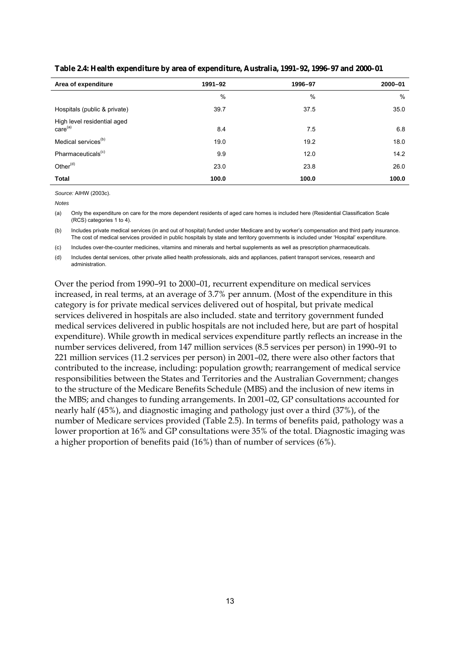| Area of expenditure                                | 1991-92 | 1996-97 | 2000-01 |
|----------------------------------------------------|---------|---------|---------|
|                                                    | $\%$    | %       | %       |
| Hospitals (public & private)                       | 39.7    | 37.5    | 35.0    |
| High level residential aged<br>care <sup>(a)</sup> | 8.4     | 7.5     | 6.8     |
| Medical services <sup>(b)</sup>                    | 19.0    | 19.2    | 18.0    |
| Pharmaceuticals <sup>(c)</sup>                     | 9.9     | 12.0    | 14.2    |
| Other <sup>(d)</sup>                               | 23.0    | 23.8    | 26.0    |
| <b>Total</b>                                       | 100.0   | 100.0   | 100.0   |

#### **Table 2.4: Health expenditure by area of expenditure, Australia, 1991–92, 1996–97 and 2000–01**

*Source:* AIHW (2003c).

*Notes* 

(a) Only the expenditure on care for the more dependent residents of aged care homes is included here (Residential Classification Scale (RCS) categories 1 to 4).

(b) Includes private medical services (in and out of hospital) funded under Medicare and by worker's compensation and third party insurance. The cost of medical services provided in public hospitals by state and territory governments is included under 'Hospital' expenditure.

(c) Includes over-the-counter medicines, vitamins and minerals and herbal supplements as well as prescription pharmaceuticals.

(d) Includes dental services, other private allied health professionals, aids and appliances, patient transport services, research and administration.

Over the period from 1990–91 to 2000–01, recurrent expenditure on medical services increased, in real terms, at an average of 3.7% per annum. (Most of the expenditure in this category is for private medical services delivered out of hospital, but private medical services delivered in hospitals are also included. state and territory government funded medical services delivered in public hospitals are not included here, but are part of hospital expenditure). While growth in medical services expenditure partly reflects an increase in the number services delivered, from 147 million services (8.5 services per person) in 1990–91 to 221 million services (11.2 services per person) in 2001–02, there were also other factors that contributed to the increase, including: population growth; rearrangement of medical service responsibilities between the States and Territories and the Australian Government; changes to the structure of the Medicare Benefits Schedule (MBS) and the inclusion of new items in the MBS; and changes to funding arrangements. In 2001–02, GP consultations accounted for nearly half (45%), and diagnostic imaging and pathology just over a third (37%), of the number of Medicare services provided (Table 2.5). In terms of benefits paid, pathology was a lower proportion at 16% and GP consultations were 35% of the total. Diagnostic imaging was a higher proportion of benefits paid (16%) than of number of services (6%).